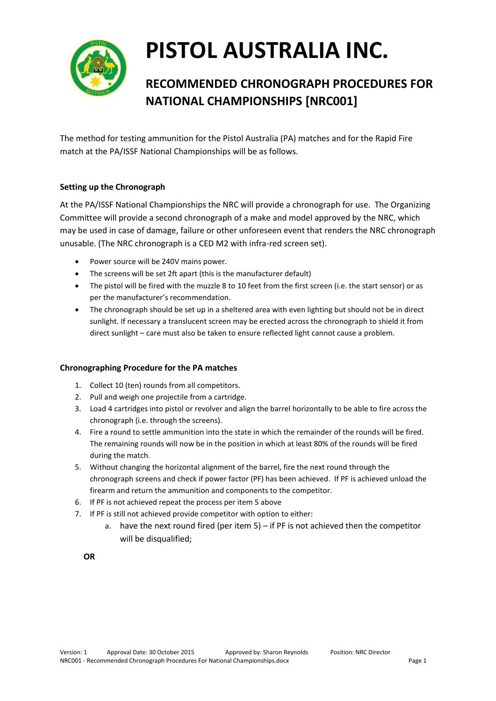

# **PISTOL AUSTRALIA INC.**

## **RECOMMENDED CHRONOGRAPH PROCEDURES FOR NATIONAL CHAMPIONSHIPS [NRC001]**

The method for testing ammunition for the Pistol Australia (PA) matches and for the Rapid Fire match at the PA/ISSF National Championships will be as follows.

#### **Setting up the Chronograph**

At the PA/ISSF National Championships the NRC will provide a chronograph for use. The Organizing Committee will provide a second chronograph of a make and model approved by the NRC, which may be used in case of damage, failure or other unforeseen event that renders the NRC chronograph unusable. (The NRC chronograph is a CED M2 with infra-red screen set).

- Power source will be 240V mains power.
- The screens will be set 2ft apart (this is the manufacturer default)
- The pistol will be fired with the muzzle 8 to 10 feet from the first screen (i.e. the start sensor) or as per the manufacturer's recommendation.
- The chronograph should be set up in a sheltered area with even lighting but should not be in direct sunlight. If necessary a translucent screen may be erected across the chronograph to shield it from direct sunlight – care must also be taken to ensure reflected light cannot cause a problem.

#### **Chronographing Procedure for the PA matches**

- 1. Collect 10 (ten) rounds from all competitors.
- 2. Pull and weigh one projectile from a cartridge.
- 3. Load 4 cartridges into pistol or revolver and align the barrel horizontally to be able to fire across the chronograph (i.e. through the screens).
- 4. Fire a round to settle ammunition into the state in which the remainder of the rounds will be fired. The remaining rounds will now be in the position in which at least 80% of the rounds will be fired during the match.
- 5. Without changing the horizontal alignment of the barrel, fire the next round through the chronograph screens and check if power factor (PF) has been achieved. If PF is achieved unload the firearm and return the ammunition and components to the competitor.
- 6. If PF is not achieved repeat the process per item 5 above
- 7. If PF is still not achieved provide competitor with option to either:
	- a. have the next round fired (per item 5) if PF is not achieved then the competitor will be disqualified;

**OR**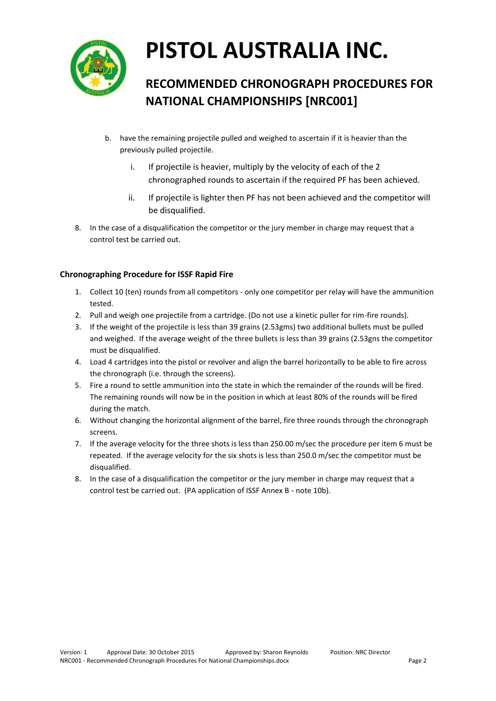

# **PISTOL AUSTRALIA INC.**

## **RECOMMENDED CHRONOGRAPH PROCEDURES FOR NATIONAL CHAMPIONSHIPS [NRC001]**

- b. have the remaining projectile pulled and weighed to ascertain if it is heavier than the previously pulled projectile.
	- i. If projectile is heavier, multiply by the velocity of each of the 2 chronographed rounds to ascertain if the required PF has been achieved.
	- ii. If projectile is lighter then PF has not been achieved and the competitor will be disqualified.
- 8. In the case of a disqualification the competitor or the jury member in charge may request that a control test be carried out.

#### **Chronographing Procedure for ISSF Rapid Fire**

- 1. Collect 10 (ten) rounds from all competitors only one competitor per relay will have the ammunition tested.
- 2. Pull and weigh one projectile from a cartridge. (Do not use a kinetic puller for rim-fire rounds).
- 3. If the weight of the projectile is less than 39 grains (2.53gms) two additional bullets must be pulled and weighed. If the average weight of the three bullets is less than 39 grains (2.53gns the competitor must be disqualified.
- 4. Load 4 cartridges into the pistol or revolver and align the barrel horizontally to be able to fire across the chronograph (i.e. through the screens).
- 5. Fire a round to settle ammunition into the state in which the remainder of the rounds will be fired. The remaining rounds will now be in the position in which at least 80% of the rounds will be fired during the match.
- 6. Without changing the horizontal alignment of the barrel, fire three rounds through the chronograph screens.
- 7. If the average velocity for the three shots is less than 250.00 m/sec the procedure per item 6 must be repeated. If the average velocity for the six shots is less than 250.0 m/sec the competitor must be disqualified.
- 8. In the case of a disqualification the competitor or the jury member in charge may request that a control test be carried out. (PA application of ISSF Annex B - note 10b).